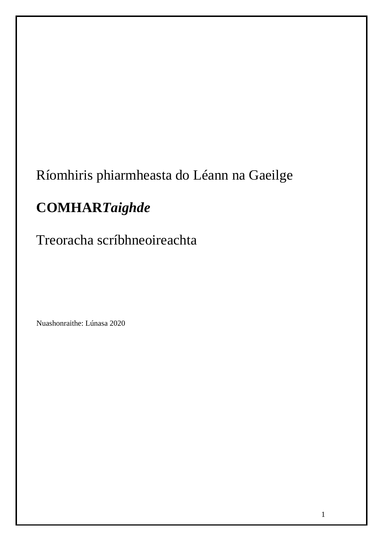# Ríomhiris phiarmheasta do Léann na Gaeilge

# **COMHAR***Taighde*

Treoracha scríbhneoireachta

Nuashonraithe: Lúnasa 2020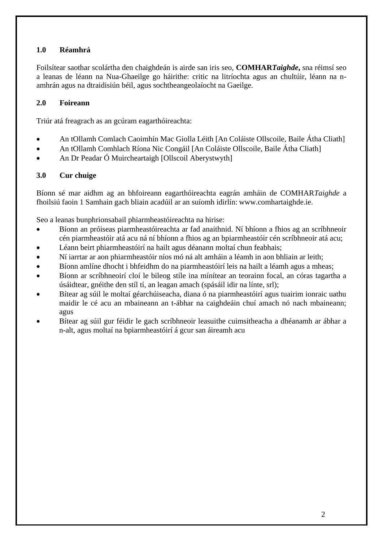## **1.0 Réamhrá**

Foilsítear saothar scolártha den chaighdeán is airde san iris seo, **COMHAR***Taighde***,** sna réimsí seo a leanas de léann na Nua-Ghaeilge go háirithe: critic na litríochta agus an chultúir, léann na namhrán agus na dtraidisiún béil, agus sochtheangeolaíocht na Gaeilge.

## **2.0 Foireann**

Triúr atá freagrach as an gcúram eagarthóireachta:

- An tOllamh Comlach Caoimhín Mac Giolla Léith [An Coláiste Ollscoile, Baile Átha Cliath]
- An tOllamh Comhlach Ríona Nic Congáil [An Coláiste Ollscoile, Baile Átha Cliath]
- An Dr Peadar Ó Muircheartaigh [Ollscoil Aberystwyth]

## **3.0 Cur chuige**

Bíonn sé mar aidhm ag an bhfoireann eagarthóireachta eagrán amháin de COMHAR*Taighde* a fhoilsiú faoin 1 Samhain gach bliain acadúil ar an suíomh idirlín: www.comhartaighde.ie.

Seo a leanas bunphrionsabail phiarmheastóireachta na hirise:

- Bíonn an próiseas piarmheastóireachta ar fad anaithnid. Ní bhíonn a fhios ag an scríbhneoir cén piarmheastóir atá acu ná ní bhíonn a fhios ag an bpiarmheastóir cén scríbhneoir atá acu;
- Léann beirt phiarmheastóirí na hailt agus déanann moltaí chun feabhais;
- Ní iarrtar ar aon phiarmheastóir níos mó ná alt amháin a léamh in aon bhliain ar leith;
- Bíonn amlíne dhocht i bhfeidhm do na piarmheastóirí leis na hailt a léamh agus a mheas;
- Bíonn ar scríbhneoirí cloí le bileog stíle ina mínítear an teorainn focal, an córas tagartha a úsáidtear, gnéithe den stíl tí, an leagan amach (spásáil idir na línte, srl);
- Bítear ag súil le moltaí géarchúiseacha, diana ó na piarmheastóirí agus tuairim ionraic uathu maidir le cé acu an mbaineann an t-ábhar na caighdeáin chuí amach nó nach mbaineann; agus
- Bítear ag súil gur féidir le gach scríbhneoir leasuithe cuimsitheacha a dhéanamh ar ábhar a n-alt, agus moltaí na bpiarmheastóirí á gcur san áireamh acu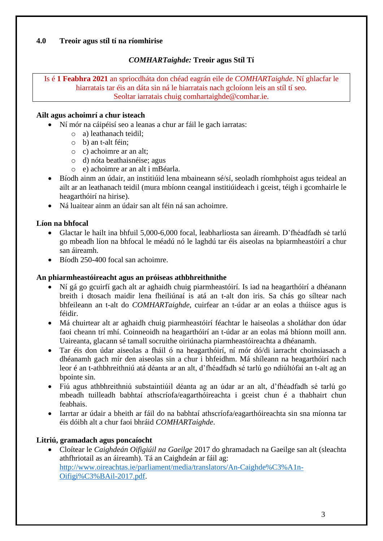## **4.0 Treoir agus stíl tí na ríomhirise**

## *COMHARTaighde:* **Treoir agus Stíl Tí**

Is é **1 Feabhra 2021** an spriocdháta don chéad eagrán eile de *COMHARTaighde*. Ní ghlacfar le hiarratais tar éis an dáta sin ná le hiarratais nach gcloíonn leis an stíl tí seo. Seoltar iarratais chuig comhartaighde@comhar.ie.

#### **Ailt agus achoimrí a chur isteach**

- Ní mór na cáipéisí seo a leanas a chur ar fáil le gach iarratas:
	- o a) leathanach teidil;
	- o b) an t-alt féin;
	- o c) achoimre ar an alt;
	- o d) nóta beathaisnéise; agus
	- o e) achoimre ar an alt i mBéarla.
- Bíodh ainm an údair, an institiúid lena mbaineann sé/sí, seoladh ríomhphoist agus teideal an ailt ar an leathanach teidil (mura mbíonn ceangal institiúideach i gceist, téigh i gcomhairle le heagarthóirí na hirise).
- Ná luaitear ainm an údair san alt féin ná san achoimre.

## **Líon na bhfocal**

- Glactar le hailt ina bhfuil 5,000-6,000 focal, leabharliosta san áireamh. D'fhéadfadh sé tarlú go mbeadh líon na bhfocal le méadú nó le laghdú tar éis aiseolas na bpiarmheastóirí a chur san áireamh.
- Bíodh 250-400 focal san achoimre.

#### **An phiarmheastóireacht agus an próiseas athbhreithnithe**

- Ní gá go gcuirfí gach alt ar aghaidh chuig piarmheastóirí. Is iad na heagarthóirí a dhéanann breith i dtosach maidir lena fheiliúnaí is atá an t-alt don iris. Sa chás go síltear nach bhfeileann an t-alt do *COMHARTaighde*, cuirfear an t-údar ar an eolas a thúisce agus is féidir.
- Má chuirtear alt ar aghaidh chuig piarmheastóirí féachtar le haiseolas a sholáthar don údar faoi cheann trí mhí. Coinneoidh na heagarthóirí an t-údar ar an eolas má bhíonn moill ann. Uaireanta, glacann sé tamall socruithe oiriúnacha piarmheastóireachta a dhéanamh.
- Tar éis don údar aiseolas a fháil ó na heagarthóirí, ní mór dó/di iarracht choinsiasach a dhéanamh gach mír den aiseolas sin a chur i bhfeidhm. Má shíleann na heagarthóirí nach leor é an t-athbhreithniú atá déanta ar an alt, d'fhéadfadh sé tarlú go ndiúltófaí an t-alt ag an bpointe sin.
- Fiú agus athbhreithniú substaintiúil déanta ag an údar ar an alt, d'fhéadfadh sé tarlú go mbeadh tuilleadh babhtaí athscríofa/eagarthóireachta i gceist chun é a thabhairt chun feabhais.
- Iarrtar ar údair a bheith ar fáil do na babhtaí athscríofa/eagarthóireachta sin sna míonna tar éis dóibh alt a chur faoi bhráid *COMHARTaighde*.

## **Litriú, gramadach agus poncaíocht**

• Cloítear le *Caighdeán Oifigiúil na Gaeilge* 2017 do ghramadach na Gaeilge san alt (sleachta athfhriotail as an áireamh). Tá an Caighdeán ar fáil ag: [http://www.oireachtas.ie/parliament/media/translators/An-Caighde%C3%A1n-](http://www.oireachtas.ie/parliament/media/translators/An-Caighde%C3%A1n-Oifigi%C3%BAil-2017.pdf)[Oifigi%C3%BAil-2017.pdf.](http://www.oireachtas.ie/parliament/media/translators/An-Caighde%C3%A1n-Oifigi%C3%BAil-2017.pdf)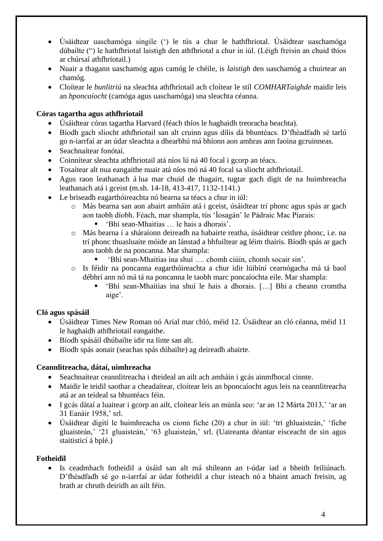- Úsáidtear uaschamóga singile (') le tús a chur le hathfhriotal. Úsáidtear uaschamóga dúbailte (") le hathfhriotal laistigh den athfhriotal a chur in iúl. (Léigh freisin an chuid thíos ar chúrsaí athfhriotail.)
- Nuair a thagann uaschamóg agus camóg le chéile, is *laistigh* den uaschamóg a chuirtear an chamóg.
- Cloítear le *bunlitriú* na sleachta athfhriotail ach cloítear le stíl *COMHARTaighde* maidir leis an *bponcaíocht* (camóga agus uaschamóga) sna sleachta céanna.

## **Córas tagartha agus athfhriotail**

- Úsáidtear córas tagartha Harvard (féach thíos le haghaidh treoracha beachta).
- Bíodh gach sliocht athfhriotail san alt cruinn agus dílis dá bhuntéacs. D'fhéadfadh sé tarlú go n-iarrfaí ar an údar sleachta a dhearbhú má bhíonn aon amhras ann faoina gcruinneas.
- Seachnaítear fonótaí.
- Coinnítear sleachta athfhriotail atá níos lú ná 40 focal i gcorp an téacs.
- Tosaítear alt nua eangaithe nuair atá níos mó ná 40 focal sa sliocht athfhriotail.
- Agus raon leathanach á lua mar chuid de thagairt, tugtar gach digit de na huimhreacha leathanach atá i gceist (m.sh. 14-18, 413-417, 1132-1141.)
- Le briseadh eagarthóireachta nó bearna sa téacs a chur in iúl:
	- o Más bearna san aon abairt amháin atá i gceist, úsáidtear trí phonc agus spás ar gach aon taobh díobh. Féach, mar shampla, tús 'Íosagán' le Pádraic Mac Piarais:
		- 'Bhí sean-Mhaitias ... le hais a dhorais'.
	- o Más bearna í a sháraíonn deireadh na habairte reatha, úsáidtear ceithre phonc, i.e. na trí phonc thuasluaite móide an lánstad a bhfuiltear ag léim thairis. Bíodh spás ar gach aon taobh de na poncanna. Mar shampla:
		- 'Bhí sean-Mhaitias ina shuí …. chomh ciúin, chomh socair sin'.
	- o Is féidir na poncanna eagarthóireachta a chur idir lúibíní cearnógacha má tá baol débhrí ann nó má tá na poncanna le taobh marc poncaíochta eile. Mar shampla:
		- 'Bhí sean-Mhaitias ina shuí le hais a dhorais. […] Bhí a cheann cromtha aige'.

# **Cló agus spásáil**

- Úsáidtear Times New Roman nó Arial mar chló, méid 12. Úsáidtear an cló céanna, méid 11 le haghaidh athfhriotail eangaithe.
- Bíodh spásáil dhúbailte idir na línte san alt.
- Bíodh spás aonair (seachas spás dúbailte) ag deireadh abairte.

## **Ceannlitreacha, dátaí, uimhreacha**

- Seachnaítear ceannlitreacha i dteideal an ailt ach amháin i gcás ainmfhocal cinnte.
- Maidir le teidil saothar a cheadaítear, cloítear leis an bponcaíocht agus leis na ceannlitreacha atá ar an teideal sa bhuntéacs féin.
- I gcás dátaí a luaitear i gcorp an ailt, cloítear leis an múnla seo: 'ar an 12 Márta 2013,' 'ar an 31 Eanáir 1958,' srl.
- Úsáidtear digití le huimhreacha os cionn fiche (20) a chur in iúl: 'trí ghluaisteán,' 'fiche gluaisteán,' '21 gluaisteán,' '63 gluaisteán,' srl. (Uaireanta déantar eisceacht de sin agus staitisticí á bplé.)

## **Fotheidil**

• Is ceadmhach fotheidil a úsáid san alt má shíleann an t-údar iad a bheith feiliúnach. D'fhéadfadh sé go n-iarrfaí ar údar fotheidil a chur isteach nó a bhaint amach freisin, ag brath ar chruth deiridh an ailt féin.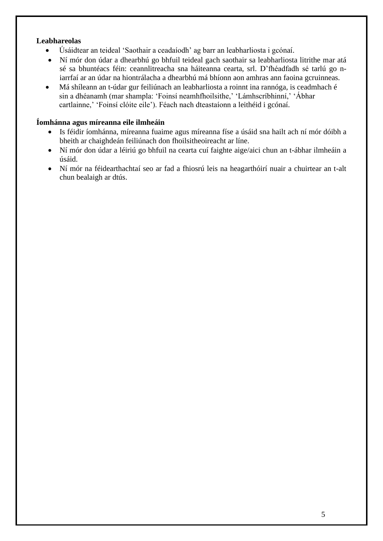## **Leabhareolas**

- Úsáidtear an teideal 'Saothair a ceadaíodh' ag barr an leabharliosta i gcónaí.
- Ní mór don údar a dhearbhú go bhfuil teideal gach saothair sa leabharliosta litrithe mar atá sé sa bhuntéacs féin: ceannlitreacha sna háiteanna cearta, srl. D'fhéadfadh sé tarlú go niarrfaí ar an údar na hiontrálacha a dhearbhú má bhíonn aon amhras ann faoina gcruinneas.
- Má shíleann an t-údar gur feiliúnach an leabharliosta a roinnt ina rannóga, is ceadmhach é sin a dhéanamh (mar shampla: 'Foinsí neamhfhoilsithe,' 'Lámhscríbhinní,' 'Ábhar cartlainne,' 'Foinsí clóite eile'). Féach nach dteastaíonn a leithéid i gcónaí.

## **Íomhánna agus míreanna eile ilmheáin**

- Is féidir íomhánna, míreanna fuaime agus míreanna físe a úsáid sna hailt ach ní mór dóibh a bheith ar chaighdeán feiliúnach don fhoilsitheoireacht ar líne.
- Ní mór don údar a léiriú go bhfuil na cearta cuí faighte aige/aici chun an t-ábhar ilmheáin a úsáid.
- Ní mór na féidearthachtaí seo ar fad a fhiosrú leis na heagarthóirí nuair a chuirtear an t-alt chun bealaigh ar dtús.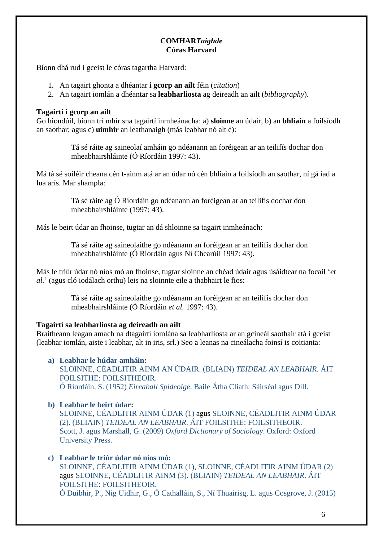# **COMHAR***Taighde* **Córas Harvard**

Bíonn dhá rud i gceist le córas tagartha Harvard:

- 1. An tagairt ghonta a dhéantar **i gcorp an ailt** féin (*citation*)
- 2. An tagairt iomlán a dhéantar sa **leabharliosta** ag deireadh an ailt (*bibliography*).

## **Tagairtí i gcorp an ailt**

Go hiondúil, bíonn trí mhír sna tagairtí inmheánacha: a) **sloinne** an údair, b) an **bhliain** a foilsíodh an saothar; agus c) **uimhir** an leathanaigh (más leabhar nó alt é):

> Tá sé ráite ag saineolaí amháin go ndéanann an foréigean ar an teilifís dochar don mheabhairshláinte (Ó Ríordáin 1997: 43).

Má tá sé soiléir cheana cén t-ainm atá ar an údar nó cén bhliain a foilsíodh an saothar, ní gá iad a lua arís. Mar shampla:

> Tá sé ráite ag Ó Ríordáin go ndéanann an foréigean ar an teilifís dochar don mheabhairshláinte (1997: 43).

Más le beirt údar an fhoinse, tugtar an dá shloinne sa tagairt inmheánach:

Tá sé ráite ag saineolaithe go ndéanann an foréigean ar an teilifís dochar don mheabhairshláinte (Ó Ríordáin agus Ní Chearúil 1997: 43).

Más le triúr údar nó níos mó an fhoinse, tugtar sloinne an chéad údair agus úsáidtear na focail '*et al.*' (agus cló iodálach orthu) leis na sloinnte eile a thabhairt le fios:

> Tá sé ráite ag saineolaithe go ndéanann an foréigean ar an teilifís dochar don mheabhairshláinte (Ó Ríordáin *et al.* 1997: 43).

## **Tagairtí sa leabharliosta ag deireadh an ailt**

Braitheann leagan amach na dtagairtí iomlána sa leabharliosta ar an gcineál saothair atá i gceist (leabhar iomlán, aiste i leabhar, alt in iris, srl.) Seo a leanas na cineálacha foinsí is coitianta:

## **a) Leabhar le húdar amháin:**

SLOINNE, CÉADLITIR AINM AN ÚDAIR. (BLIAIN) *TEIDEAL AN LEABHAIR*. ÁIT FOILSITHE: FOILSITHEOIR. Ó Ríordáin, S. (1952) *Eireaball Spideoige*. Baile Átha Cliath: Sáirséal agus Dill.

# **b) Leabhar le beirt údar:**

SLOINNE, CÉADLITIR AINM ÚDAR (1) agus SLOINNE, CÉADLITIR AINM ÚDAR (2). (BLIAIN) *TEIDEAL AN LEABHAIR*. ÁIT FOILSITHE: FOILSITHEOIR. Scott, J. agus Marshall, G. (2009) *Oxford Dictionary of Sociology*. Oxford: Oxford University Press.

## **c) Leabhar le triúr údar nó níos mó:**

SLOINNE, CÉADLITIR AINM ÚDAR (1), SLOINNE, CÉADLITIR AINM ÚDAR (2) agus SLOINNE, CÉADLITIR AINM (3). (BLIAIN) *TEIDEAL AN LEABHAIR*. ÁIT FOILSITHE: FOILSITHEOIR. Ó Duibhir, P., Nig Uidhir, G., Ó Cathalláin, S., Ní Thuairisg, L. agus Cosgrove, J. (2015)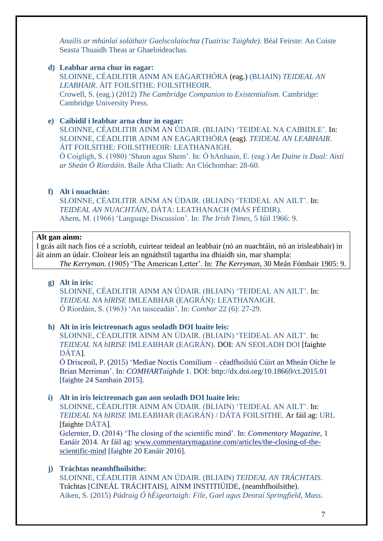*Anailís ar mhúnlaí soláthair Gaelscolaíochta (Tuairisc Taighde)*. Béal Feirste: An Coiste Seasta Thuaidh Theas ar Ghaeloideachas.

#### **d) Leabhar arna chur in eagar:**

SLOINNE, CÉADLITIR AINM AN EAGARTHÓRA (eag.) (BLIAIN) *TEIDEAL AN LEABHAIR*. ÁIT FOILSITHE: FOILSITHEOIR. Crowell, S. (eag.) (2012) *The Cambridge Companion to Existentialism*. Cambridge: Cambridge University Press.

#### **e) Caibidil i leabhar arna chur in eagar:**

SLOINNE, CÉADLITIR AINM AN ÚDAIR. (BLIAIN) 'TEIDEAL NA CAIBIDLE'. In: SLOINNE, CÉADLITIR AINM AN EAGARTHÓRA (eag). *TEIDEAL AN LEABHAIR*. ÁIT FOILSITHE: FOILSITHEOIR: LEATHANAIGH.

Ó Coigligh, S. (1980) 'Shaun agus Shem'. In: Ó hAnluain, E. (eag.) *An Duine is Dual: Aistí ar Sheán Ó Ríordáin*. Baile Átha Cliath: An Clóchomhar: 28-60.

## **f) Alt i nuachtán:**

SLOINNE, CÉADLITIR AINM AN ÚDAIR. (BLIAIN) 'TEIDEAL AN AILT'. In: *TEIDEAL AN NUACHTÁIN*, DÁTA: LEATHANACH (MÁS FÉIDIR). Ahern, M. (1966) 'Language Discussion'. In: *The Irish Times*, 5 Iúil 1966: 9.

#### **Alt gan ainm:**

I gcás ailt nach fios cé a scríobh, cuirtear teideal an leabhair (nó an nuachtáin, nó an irisleabhair) in áit ainm an údair. Cloítear leis an ngnáthstíl tagartha ina dhiaidh sin, mar shampla: *The Kerryman.* (1905) 'The American Letter'. In: *The Kerryman*, 30 Meán Fómhair 1905: 9.

#### **g) Alt in iris:**

SLOINNE, CÉADLITIR AINM AN ÚDAIR. (BLIAIN) 'TEIDEAL AN AILT'. In: *TEIDEAL NA hIRISE* IMLEABHAR (EAGRÁN): LEATHANAIGH. Ó Ríordáin, S. (1963) 'An taisceadán'. In: *Comhar* 22 (6): 27-29.

#### **h) Alt in iris leictreonach agus seoladh DOI luaite leis:**

SLOINNE, CÉADLITIR AINM AN ÚDAIR. (BLIAIN) 'TEIDEAL AN AILT'. In: *TEIDEAL NA hIRISE* IMLEABHAR (EAGRÁN). DOI: AN SEOLADH DOI [faighte DÁTA].

Ó Drisceoil, P. (2015) 'Mediae Noctis Consilium – céadfhoilsiú Cúirt an Mheán Oíche le Brian Merriman'. In: *COMHARTaighde* 1. DOI:<http://dx.doi.org/10.18669/ct.2015.01> [faighte 24 Samhain 2015].

#### **i) Alt in iris leictreonach gan aon seoladh DOI luaite leis:**

SLOINNE, CÉADLITIR AINM AN ÚDAIR. (BLIAIN) 'TEIDEAL AN AILT'. In: *TEIDEAL NA hIRISE* IMLEABHAR (EAGRÁN) / DÁTA FOILSITHE. Ar fáil ag: URL [faighte DÁTA].

Gelernter, D. (2014) 'The closing of the scientific mind'. In: *Commentary Magazine*, 1 Eanáir 2014. Ar fáil ag: [www.commentarymagazine.com/articles/the-closing-of-the](http://www.commentarymagazine.com/articles/the-closing-of-the-scientific-mind)[scientific-mind](http://www.commentarymagazine.com/articles/the-closing-of-the-scientific-mind) [faighte 20 Eanáir 2016].

#### **j) Tráchtas neamhfhoilsithe:**

SLOINNE, CÉADLITIR AINM AN ÚDAIR. (BLIAIN) *TEIDEAL AN TRÁCHTAIS*. Tráchtas [CINEÁL TRÁCHTAIS], AINM INSTITIÚIDE, (neamhfhoilsithe). Aiken, S. (2015) *Pádraig Ó hÉigeartaigh: File, Gael agus Deoraí Springfield, Mass*.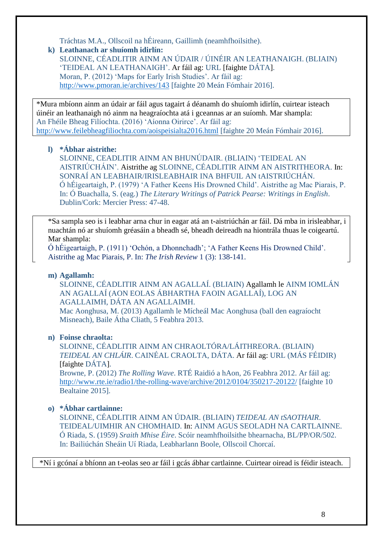Tráchtas M.A., Ollscoil na hÉireann, Gaillimh (neamhfhoilsithe).

## **k) Leathanach ar shuíomh idirlín:**

SLOINNE, CÉADLITIR AINM AN ÚDAIR / ÚINÉIR AN LEATHANAIGH. (BLIAIN) 'TEIDEAL AN LEATHANAIGH'. Ar fáil ag: URL [faighte DÁTA]. Moran, P. (2012) 'Maps for Early Irish Studies'. Ar fáil ag: <http://www.pmoran.ie/archives/143> [faighte 20 Meán Fómhair 2016].

\*Mura mbíonn ainm an údair ar fáil agus tagairt á déanamh do shuíomh idirlín, cuirtear isteach úinéir an leathanaigh nó ainm na heagraíochta atá i gceannas ar an suíomh. Mar shampla: An Fhéile Bheag Filíochta. (2016) 'Aíonna Oirirce'. Ar fáil ag: <http://www.feilebheagfiliochta.com/aoispeisialta2016.html> [faighte 20 Meán Fómhair 2016].

# **l) \*Ábhar aistrithe:**

SLOINNE, CEADLITIR AINM AN BHUNÚDAIR. (BLIAIN) 'TEIDEAL AN AISTRIÚCHÁIN'. Aistrithe ag SLOINNE, CÉADLITIR AINM AN AISTRITHEORA. In: SONRAÍ AN LEABHAIR/IRISLEABHAIR INA BHFUIL AN tAISTRIÚCHÁN. Ó hÉigeartaigh, P. (1979) 'A Father Keens His Drowned Child'. Aistrithe ag Mac Piarais, P. In: Ó Buachalla, S. (eag.) *The Literary Writings of Patrick Pearse: Writings in English*. Dublin/Cork: Mercier Press: 47-48.

\*Sa sampla seo is i leabhar arna chur in eagar atá an t-aistriúchán ar fáil. Dá mba in irisleabhar, i nuachtán nó ar shuíomh gréasáin a bheadh sé, bheadh deireadh na hiontrála thuas le coigeartú. Mar shampla:

Ó hÉigeartaigh, P. (1911) 'Ochón, a Dhonnchadh'; 'A Father Keens His Drowned Child'. Aistrithe ag Mac Piarais, P. In: *The Irish Review* 1 (3): 138-141.

# **m) Agallamh:**

SLOINNE, CÉADLITIR AINM AN AGALLAÍ. (BLIAIN) Agallamh le AINM IOMLÁN AN AGALLAÍ (AON EOLAS ÁBHARTHA FAOIN AGALLAÍ), LOG AN AGALLAIMH, DÁTA AN AGALLAIMH.

Mac Aonghusa, M. (2013) Agallamh le Mícheál Mac Aonghusa (ball den eagraíocht Misneach), Baile Átha Cliath, 5 Feabhra 2013.

# **n) Foinse chraolta:**

SLOINNE, CÉADLITIR AINM AN CHRAOLTÓRA/LÁITHREORA. (BLIAIN) *TEIDEAL AN CHLÁIR*. CAINÉAL CRAOLTA, DÁTA. Ar fáil ag: URL (MÁS FÉIDIR) [faighte DÁTA].

Browne, P. (2012) *The Rolling Wave*. RTÉ Raidió a hAon, 26 Feabhra 2012. Ar fáil ag: <http://www.rte.ie/radio1/the-rolling-wave/archive/2012/0104/350217-20122/> [faighte 10 Bealtaine 2015].

# **o) \*Ábhar cartlainne:**

SLOINNE, CÉADLITIR AINM AN ÚDAIR. (BLIAIN) *TEIDEAL AN tSAOTHAIR*. TEIDEAL/UIMHIR AN CHOMHAID. In: AINM AGUS SEOLADH NA CARTLAINNE. Ó Riada, S. (1959) *Sraith Mhise Éire*. Scóir neamhfhoilsithe bhearnacha, BL/PP/OR/502. In: Bailiúchán Sheáin Uí Riada, Leabharlann Boole, Ollscoil Chorcaí.

\*Ní i gcónaí a bhíonn an t-eolas seo ar fáil i gcás ábhar cartlainne. Cuirtear oiread is féidir isteach.